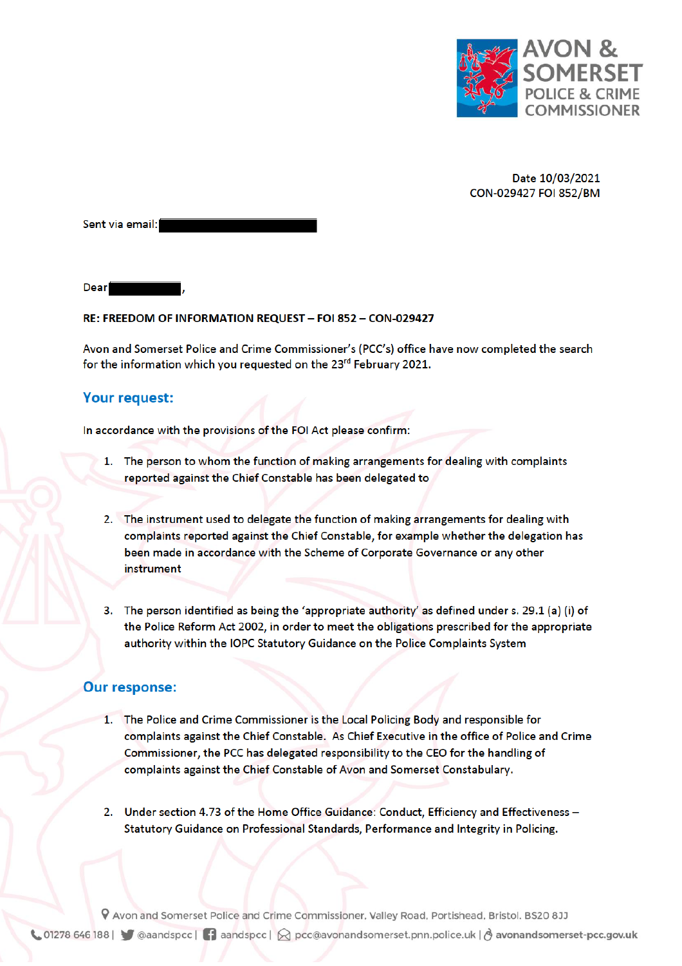

Date 10/03/2021 CON-029427 FOI 852/BM

Sent via email:

**Dear** 

## RE: FREEDOM OF INFORMATION REQUEST - FOI 852 - CON-029427

Avon and Somerset Police and Crime Commissioner's (PCC's) office have now completed the search for the information which you requested on the 23<sup>rd</sup> February 2021.

## **Your request:**

In accordance with the provisions of the FOI Act please confirm:

- 1. The person to whom the function of making arrangements for dealing with complaints reported against the Chief Constable has been delegated to
- 2. The instrument used to delegate the function of making arrangements for dealing with complaints reported against the Chief Constable, for example whether the delegation has been made in accordance with the Scheme of Corporate Governance or any other instrument
- 3. The person identified as being the 'appropriate authority' as defined under s. 29.1 (a) (i) of the Police Reform Act 2002, in order to meet the obligations prescribed for the appropriate authority within the IOPC Statutory Guidance on the Police Complaints System

## **Our response:**

- 1. The Police and Crime Commissioner is the Local Policing Body and responsible for complaints against the Chief Constable. As Chief Executive in the office of Police and Crime Commissioner, the PCC has delegated responsibility to the CEO for the handling of complaints against the Chief Constable of Avon and Somerset Constabulary.
- 2. Under section 4.73 of the Home Office Guidance: Conduct, Efficiency and Effectiveness -Statutory Guidance on Professional Standards, Performance and Integrity in Policing.

P Avon and Somerset Police and Crime Commissioner, Valley Road, Portishead, Bristol. BS20 8JJ ↓ 01278 646 188 | ● @aandspcc | ● aandspcc |  $\bigotimes$  pcc@avonandsomerset.pnn.police.uk |  $\bigcirc$  avonandsomerset-pcc.gov.uk